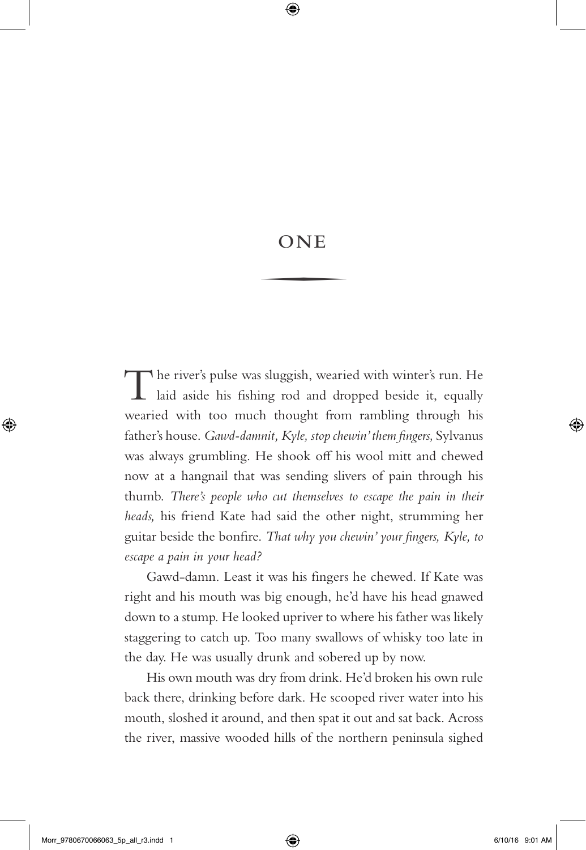## **ONE**

-

The river's pulse was sluggish, wearied with winter's run. He laid aside his fishing rod and dropped beside it, equally wearied with too much thought from rambling through his father's house. *Gawd-damnit, Kyle, stop chewin' them fingers,* Sylvanus was always grumbling. He shook off his wool mitt and chewed now at a hangnail that was sending slivers of pain through his thumb. *There's people who cut themselves to escape the pain in their heads,* his friend Kate had said the other night, strumming her guitar beside the bonfire. *That why you chewin' your fingers, Kyle, to escape a pain in your head?*

Gawd-damn. Least it was his fingers he chewed. If Kate was right and his mouth was big enough, he'd have his head gnawed down to a stump. He looked upriver to where his father was likely staggering to catch up. Too many swallows of whisky too late in the day. He was usually drunk and sobered up by now.

His own mouth was dry from drink. He'd broken his own rule back there, drinking before dark. He scooped river water into his mouth, sloshed it around, and then spat it out and sat back. Across the river, massive wooded hills of the northern peninsula sighed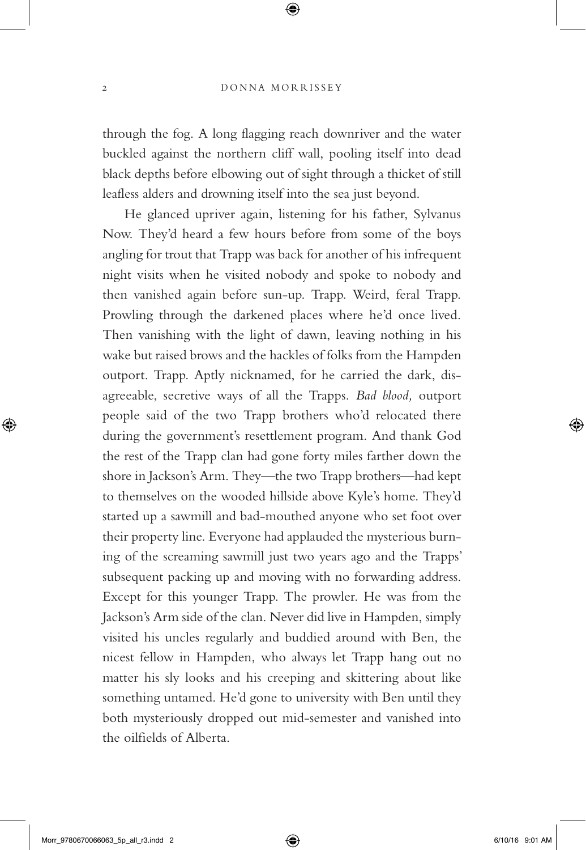through the fog. A long flagging reach downriver and the water buckled against the northern cliff wall, pooling itself into dead black depths before elbowing out of sight through a thicket of still leafless alders and drowning itself into the sea just beyond.

He glanced upriver again, listening for his father, Sylvanus Now. They'd heard a few hours before from some of the boys angling for trout that Trapp was back for another of his infrequent night visits when he visited nobody and spoke to nobody and then vanished again before sun-up. Trapp. Weird, feral Trapp. Prowling through the darkened places where he'd once lived. Then vanishing with the light of dawn, leaving nothing in his wake but raised brows and the hackles of folks from the Hampden outport. Trapp. Aptly nicknamed, for he carried the dark, disagreeable, secretive ways of all the Trapps. *Bad blood,* outport people said of the two Trapp brothers who'd relocated there during the government's resettlement program. And thank God the rest of the Trapp clan had gone forty miles farther down the shore in Jackson's Arm. They—the two Trapp brothers—had kept to themselves on the wooded hillside above Kyle's home. They'd started up a sawmill and bad-mouthed anyone who set foot over their property line. Everyone had applauded the mysterious burning of the screaming sawmill just two years ago and the Trapps' subsequent packing up and moving with no forwarding address. Except for this younger Trapp. The prowler. He was from the Jackson's Arm side of the clan. Never did live in Hampden, simply visited his uncles regularly and buddied around with Ben, the nicest fellow in Hampden, who always let Trapp hang out no matter his sly looks and his creeping and skittering about like something untamed. He'd gone to university with Ben until they both mysteriously dropped out mid-semester and vanished into the oilfields of Alberta.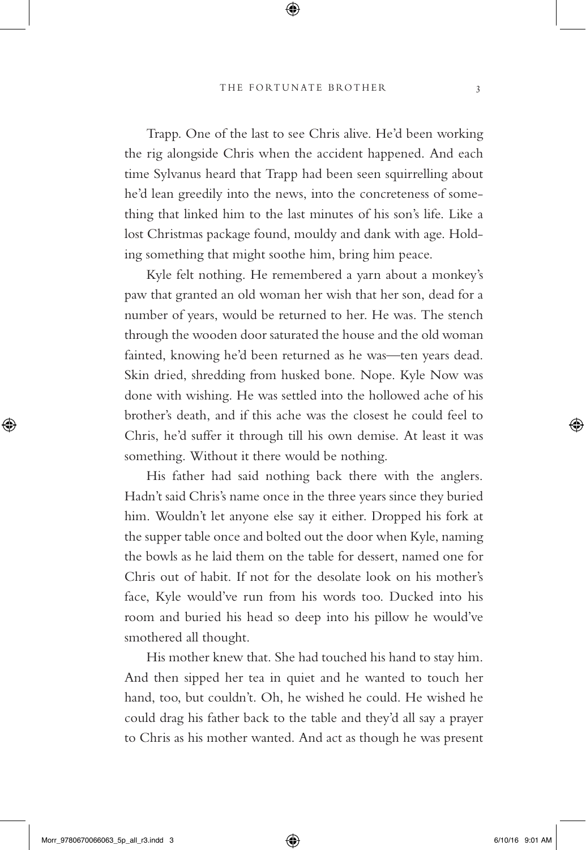Trapp. One of the last to see Chris alive. He'd been working the rig alongside Chris when the accident happened. And each time Sylvanus heard that Trapp had been seen squirrelling about he'd lean greedily into the news, into the concreteness of something that linked him to the last minutes of his son's life. Like a lost Christmas package found, mouldy and dank with age. Holding something that might soothe him, bring him peace.

Kyle felt nothing. He remembered a yarn about a monkey's paw that granted an old woman her wish that her son, dead for a number of years, would be returned to her. He was. The stench through the wooden door saturated the house and the old woman fainted, knowing he'd been returned as he was—ten years dead. Skin dried, shredding from husked bone. Nope. Kyle Now was done with wishing. He was settled into the hollowed ache of his brother's death, and if this ache was the closest he could feel to Chris, he'd suffer it through till his own demise. At least it was something. Without it there would be nothing.

His father had said nothing back there with the anglers. Hadn't said Chris's name once in the three years since they buried him. Wouldn't let anyone else say it either. Dropped his fork at the supper table once and bolted out the door when Kyle, naming the bowls as he laid them on the table for dessert, named one for Chris out of habit. If not for the desolate look on his mother's face, Kyle would've run from his words too. Ducked into his room and buried his head so deep into his pillow he would've smothered all thought.

His mother knew that. She had touched his hand to stay him. And then sipped her tea in quiet and he wanted to touch her hand, too, but couldn't. Oh, he wished he could. He wished he could drag his father back to the table and they'd all say a prayer to Chris as his mother wanted. And act as though he was present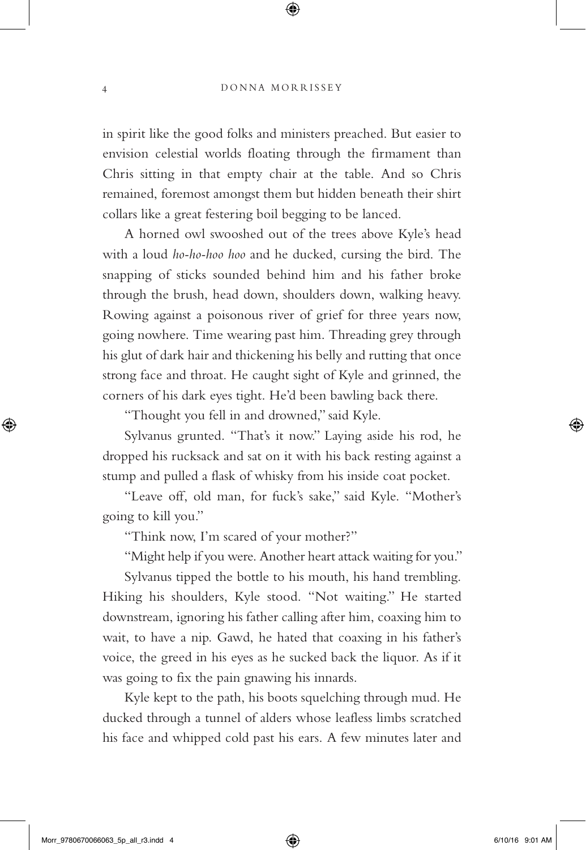in spirit like the good folks and ministers preached. But easier to envision celestial worlds floating through the firmament than Chris sitting in that empty chair at the table. And so Chris remained, foremost amongst them but hidden beneath their shirt collars like a great festering boil begging to be lanced.

A horned owl swooshed out of the trees above Kyle's head with a loud *ho-ho-hoo hoo* and he ducked, cursing the bird. The snapping of sticks sounded behind him and his father broke through the brush, head down, shoulders down, walking heavy. Rowing against a poisonous river of grief for three years now, going nowhere. Time wearing past him. Threading grey through his glut of dark hair and thickening his belly and rutting that once strong face and throat. He caught sight of Kyle and grinned, the corners of his dark eyes tight. He'd been bawling back there.

"Thought you fell in and drowned," said Kyle.

Sylvanus grunted. "That's it now." Laying aside his rod, he dropped his rucksack and sat on it with his back resting against a stump and pulled a flask of whisky from his inside coat pocket.

"Leave off, old man, for fuck's sake," said Kyle. "Mother's going to kill you."

"Think now, I'm scared of your mother?"

"Might help if you were. Another heart attack waiting for you."

Sylvanus tipped the bottle to his mouth, his hand trembling. Hiking his shoulders, Kyle stood. "Not waiting." He started downstream, ignoring his father calling after him, coaxing him to wait, to have a nip. Gawd, he hated that coaxing in his father's voice, the greed in his eyes as he sucked back the liquor. As if it was going to fix the pain gnawing his innards.

Kyle kept to the path, his boots squelching through mud. He ducked through a tunnel of alders whose leafless limbs scratched his face and whipped cold past his ears. A few minutes later and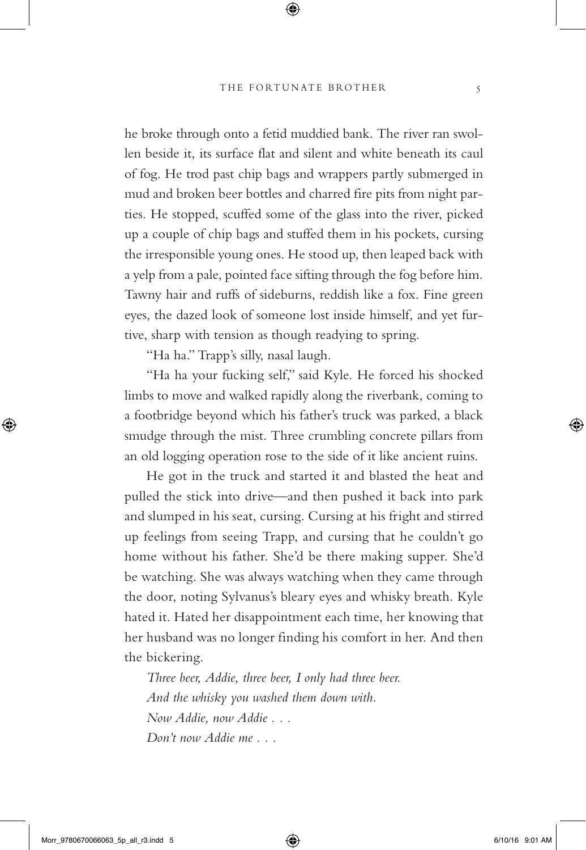he broke through onto a fetid muddied bank. The river ran swollen beside it, its surface flat and silent and white beneath its caul of fog. He trod past chip bags and wrappers partly submerged in mud and broken beer bottles and charred fire pits from night parties. He stopped, scuffed some of the glass into the river, picked up a couple of chip bags and stuffed them in his pockets, cursing the irresponsible young ones. He stood up, then leaped back with a yelp from a pale, pointed face sifting through the fog before him. Tawny hair and ruffs of sideburns, reddish like a fox. Fine green eyes, the dazed look of someone lost inside himself, and yet furtive, sharp with tension as though readying to spring.

"Ha ha." Trapp's silly, nasal laugh.

"Ha ha your fucking self," said Kyle. He forced his shocked limbs to move and walked rapidly along the riverbank, coming to a footbridge beyond which his father's truck was parked, a black smudge through the mist. Three crumbling concrete pillars from an old logging operation rose to the side of it like ancient ruins.

He got in the truck and started it and blasted the heat and pulled the stick into drive—and then pushed it back into park and slumped in his seat, cursing. Cursing at his fright and stirred up feelings from seeing Trapp, and cursing that he couldn't go home without his father. She'd be there making supper. She'd be watching. She was always watching when they came through the door, noting Sylvanus's bleary eyes and whisky breath. Kyle hated it. Hated her disappointment each time, her knowing that her husband was no longer finding his comfort in her. And then the bickering.

*Three beer, Addie, three beer, I only had three beer. And the whisky you washed them down with. Now Addie, now Addie . . . Don't now Addie me . . .*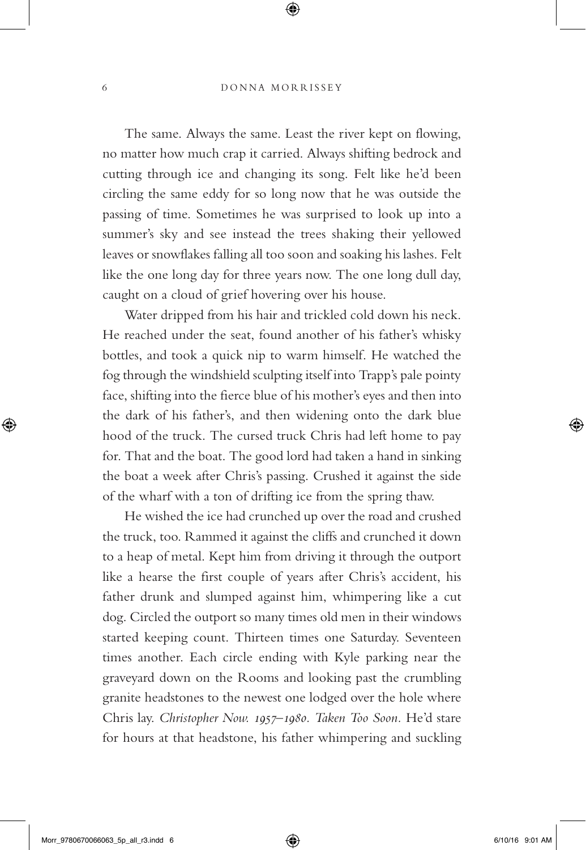The same. Always the same. Least the river kept on flowing, no matter how much crap it carried. Always shifting bedrock and cutting through ice and changing its song. Felt like he'd been circling the same eddy for so long now that he was outside the passing of time. Sometimes he was surprised to look up into a summer's sky and see instead the trees shaking their yellowed leaves or snowflakes falling all too soon and soaking his lashes. Felt like the one long day for three years now. The one long dull day, caught on a cloud of grief hovering over his house.

Water dripped from his hair and trickled cold down his neck. He reached under the seat, found another of his father's whisky bottles, and took a quick nip to warm himself. He watched the fog through the windshield sculpting itself into Trapp's pale pointy face, shifting into the fierce blue of his mother's eyes and then into the dark of his father's, and then widening onto the dark blue hood of the truck. The cursed truck Chris had left home to pay for. That and the boat. The good lord had taken a hand in sinking the boat a week after Chris's passing. Crushed it against the side of the wharf with a ton of drifting ice from the spring thaw.

He wished the ice had crunched up over the road and crushed the truck, too. Rammed it against the cliffs and crunched it down to a heap of metal. Kept him from driving it through the outport like a hearse the first couple of years after Chris's accident, his father drunk and slumped against him, whimpering like a cut dog. Circled the outport so many times old men in their windows started keeping count. Thirteen times one Saturday. Seventeen times another. Each circle ending with Kyle parking near the graveyard down on the Rooms and looking past the crumbling granite headstones to the newest one lodged over the hole where Chris lay. *Christopher Now. 1957–1980. Taken Too Soon.* He'd stare for hours at that headstone, his father whimpering and suckling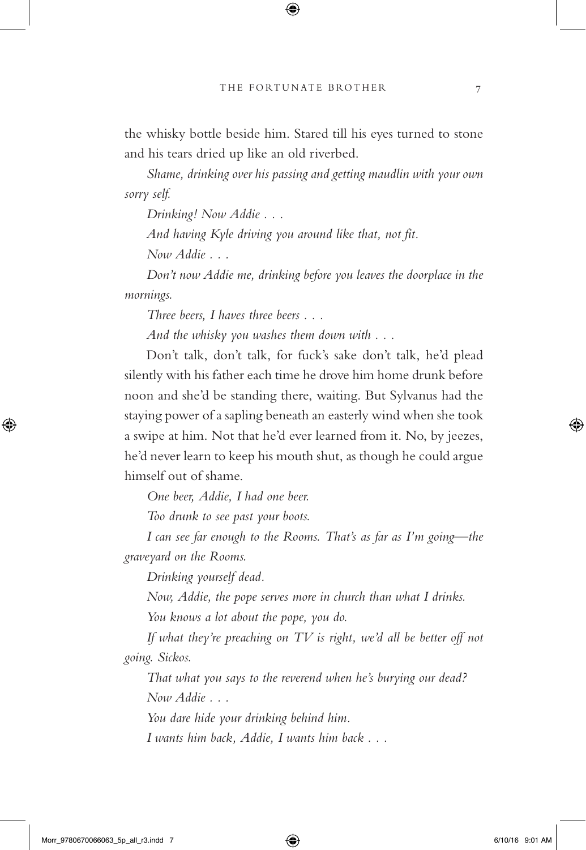the whisky bottle beside him. Stared till his eyes turned to stone and his tears dried up like an old riverbed.

*Shame, drinking over his passing and getting maudlin with your own sorry self.*

*Drinking! Now Addie . . .*

*And having Kyle driving you around like that, not fit.* 

*Now Addie . . .*

*Don't now Addie me, drinking before you leaves the doorplace in the mornings.*

*Three beers, I haves three beers . . . And the whisky you washes them down with . . .*

Don't talk, don't talk, for fuck's sake don't talk, he'd plead silently with his father each time he drove him home drunk before noon and she'd be standing there, waiting. But Sylvanus had the staying power of a sapling beneath an easterly wind when she took a swipe at him. Not that he'd ever learned from it. No, by jeezes, he'd never learn to keep his mouth shut, as though he could argue himself out of shame.

*One beer, Addie, I had one beer.*

*Too drunk to see past your boots.*

*I can see far enough to the Rooms. That's as far as I'm going—the graveyard on the Rooms.*

*Drinking yourself dead.*

*Now, Addie, the pope serves more in church than what I drinks.*

*You knows a lot about the pope, you do.*

*If what they're preaching on TV is right, we'd all be better off not going. Sickos.*

*That what you says to the reverend when he's burying our dead? Now Addie . . .*

*You dare hide your drinking behind him.*

*I wants him back, Addie, I wants him back . . .*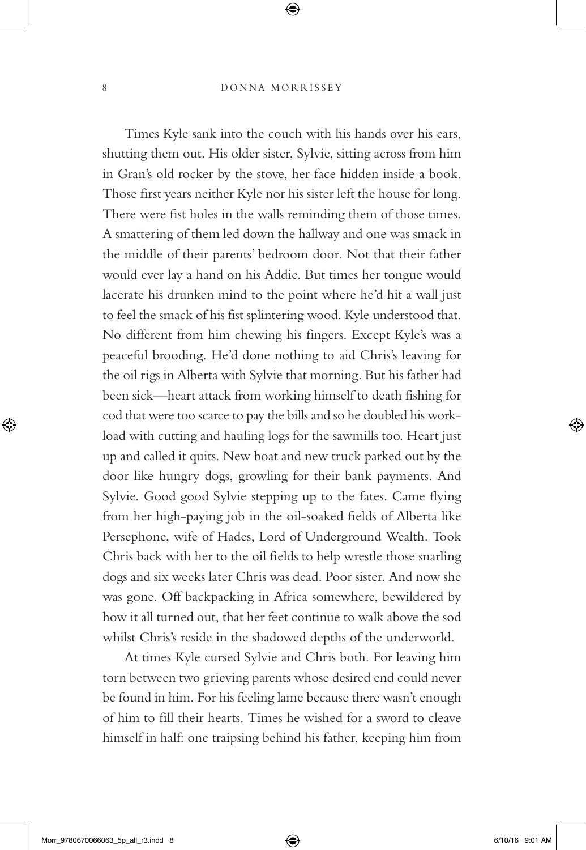Times Kyle sank into the couch with his hands over his ears, shutting them out. His older sister, Sylvie, sitting across from him in Gran's old rocker by the stove, her face hidden inside a book. Those first years neither Kyle nor his sister left the house for long. There were fist holes in the walls reminding them of those times. A smattering of them led down the hallway and one was smack in the middle of their parents' bedroom door. Not that their father would ever lay a hand on his Addie. But times her tongue would lacerate his drunken mind to the point where he'd hit a wall just to feel the smack of his fist splintering wood. Kyle understood that. No different from him chewing his fingers. Except Kyle's was a peaceful brooding. He'd done nothing to aid Chris's leaving for the oil rigs in Alberta with Sylvie that morning. But his father had been sick—heart attack from working himself to death fishing for cod that were too scarce to pay the bills and so he doubled his workload with cutting and hauling logs for the sawmills too. Heart just up and called it quits. New boat and new truck parked out by the door like hungry dogs, growling for their bank payments. And Sylvie. Good good Sylvie stepping up to the fates. Came flying from her high-paying job in the oil-soaked fields of Alberta like Persephone, wife of Hades, Lord of Underground Wealth. Took Chris back with her to the oil fields to help wrestle those snarling dogs and six weeks later Chris was dead. Poor sister. And now she was gone. Off backpacking in Africa somewhere, bewildered by how it all turned out, that her feet continue to walk above the sod whilst Chris's reside in the shadowed depths of the underworld.

At times Kyle cursed Sylvie and Chris both. For leaving him torn between two grieving parents whose desired end could never be found in him. For his feeling lame because there wasn't enough of him to fill their hearts. Times he wished for a sword to cleave himself in half: one traipsing behind his father, keeping him from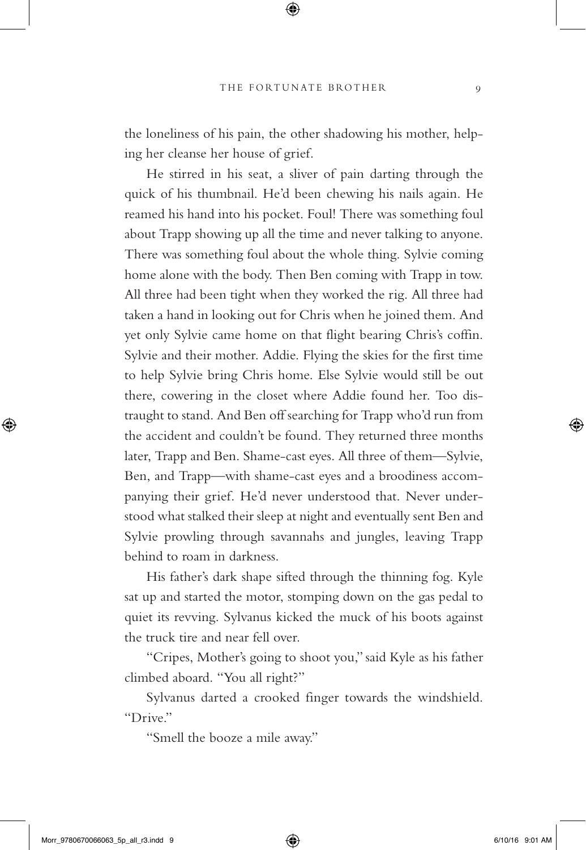the loneliness of his pain, the other shadowing his mother, helping her cleanse her house of grief.

He stirred in his seat, a sliver of pain darting through the quick of his thumbnail. He'd been chewing his nails again. He reamed his hand into his pocket. Foul! There was something foul about Trapp showing up all the time and never talking to anyone. There was something foul about the whole thing. Sylvie coming home alone with the body. Then Ben coming with Trapp in tow. All three had been tight when they worked the rig. All three had taken a hand in looking out for Chris when he joined them. And yet only Sylvie came home on that flight bearing Chris's coffin. Sylvie and their mother. Addie. Flying the skies for the first time to help Sylvie bring Chris home. Else Sylvie would still be out there, cowering in the closet where Addie found her. Too distraught to stand. And Ben off searching for Trapp who'd run from the accident and couldn't be found. They returned three months later, Trapp and Ben. Shame-cast eyes. All three of them—Sylvie, Ben, and Trapp—with shame-cast eyes and a broodiness accompanying their grief. He'd never understood that. Never understood what stalked their sleep at night and eventually sent Ben and Sylvie prowling through savannahs and jungles, leaving Trapp behind to roam in darkness.

His father's dark shape sifted through the thinning fog. Kyle sat up and started the motor, stomping down on the gas pedal to quiet its revving. Sylvanus kicked the muck of his boots against the truck tire and near fell over.

"Cripes, Mother's going to shoot you," said Kyle as his father climbed aboard. "You all right?"

Sylvanus darted a crooked finger towards the windshield. "Drive."

"Smell the booze a mile away."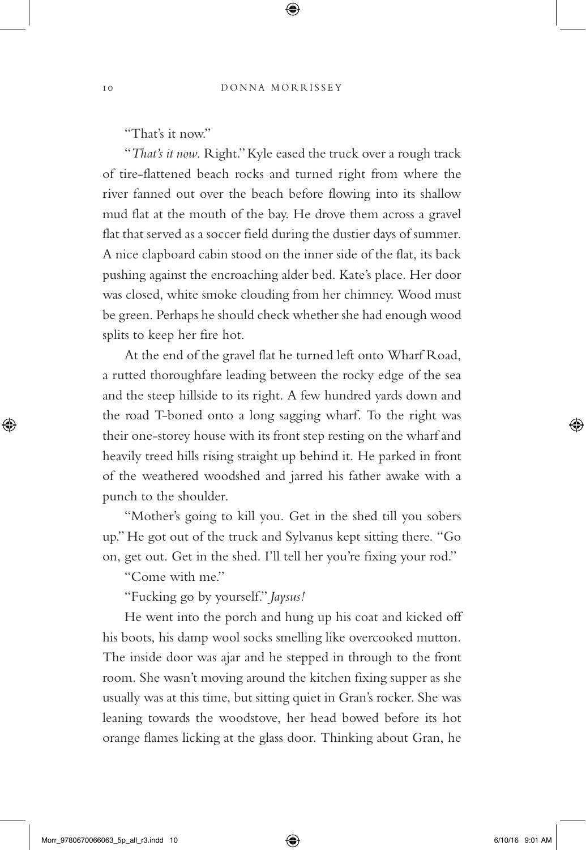"That's it now."

"*That's it now*. Right." Kyle eased the truck over a rough track of tire-flattened beach rocks and turned right from where the river fanned out over the beach before flowing into its shallow mud flat at the mouth of the bay. He drove them across a gravel flat that served as a soccer field during the dustier days of summer. A nice clapboard cabin stood on the inner side of the flat, its back pushing against the encroaching alder bed. Kate's place. Her door was closed, white smoke clouding from her chimney. Wood must be green. Perhaps he should check whether she had enough wood splits to keep her fire hot.

At the end of the gravel flat he turned left onto Wharf Road, a rutted thoroughfare leading between the rocky edge of the sea and the steep hillside to its right. A few hundred yards down and the road T-boned onto a long sagging wharf. To the right was their one-storey house with its front step resting on the wharf and heavily treed hills rising straight up behind it. He parked in front of the weathered woodshed and jarred his father awake with a punch to the shoulder.

"Mother's going to kill you. Get in the shed till you sobers up." He got out of the truck and Sylvanus kept sitting there. "Go on, get out. Get in the shed. I'll tell her you're fixing your rod."

"Come with me."

"Fucking go by yourself." *Jaysus!* 

He went into the porch and hung up his coat and kicked off his boots, his damp wool socks smelling like overcooked mutton. The inside door was ajar and he stepped in through to the front room. She wasn't moving around the kitchen fixing supper as she usually was at this time, but sitting quiet in Gran's rocker. She was leaning towards the woodstove, her head bowed before its hot orange flames licking at the glass door. Thinking about Gran, he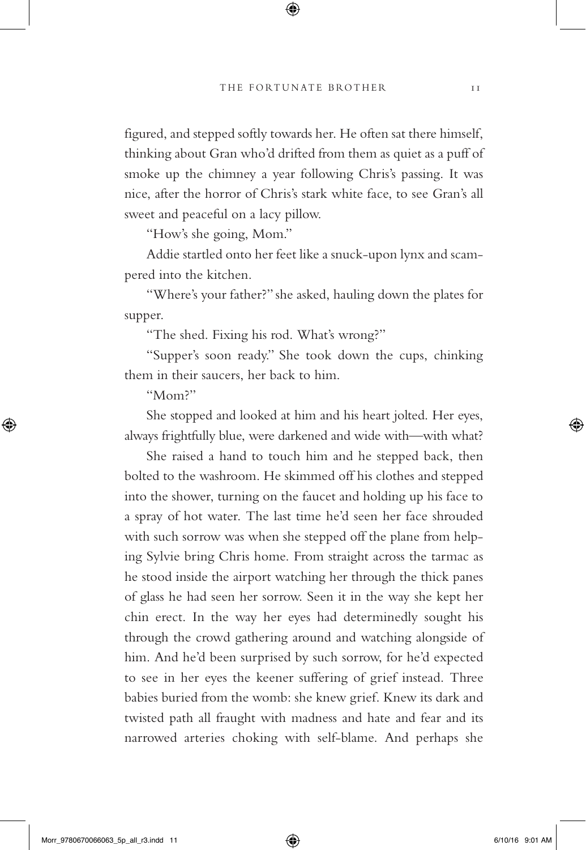figured, and stepped softly towards her. He often sat there himself, thinking about Gran who'd drifted from them as quiet as a puff of smoke up the chimney a year following Chris's passing. It was nice, after the horror of Chris's stark white face, to see Gran's all sweet and peaceful on a lacy pillow.

"How's she going, Mom."

Addie startled onto her feet like a snuck-upon lynx and scampered into the kitchen.

"Where's your father?" she asked, hauling down the plates for supper.

"The shed. Fixing his rod. What's wrong?"

"Supper's soon ready." She took down the cups, chinking them in their saucers, her back to him.

"Mom?"

She stopped and looked at him and his heart jolted. Her eyes, always frightfully blue, were darkened and wide with—with what?

She raised a hand to touch him and he stepped back, then bolted to the washroom. He skimmed off his clothes and stepped into the shower, turning on the faucet and holding up his face to a spray of hot water. The last time he'd seen her face shrouded with such sorrow was when she stepped off the plane from helping Sylvie bring Chris home. From straight across the tarmac as he stood inside the airport watching her through the thick panes of glass he had seen her sorrow. Seen it in the way she kept her chin erect. In the way her eyes had determinedly sought his through the crowd gathering around and watching alongside of him. And he'd been surprised by such sorrow, for he'd expected to see in her eyes the keener suffering of grief instead. Three babies buried from the womb: she knew grief. Knew its dark and twisted path all fraught with madness and hate and fear and its narrowed arteries choking with self-blame. And perhaps she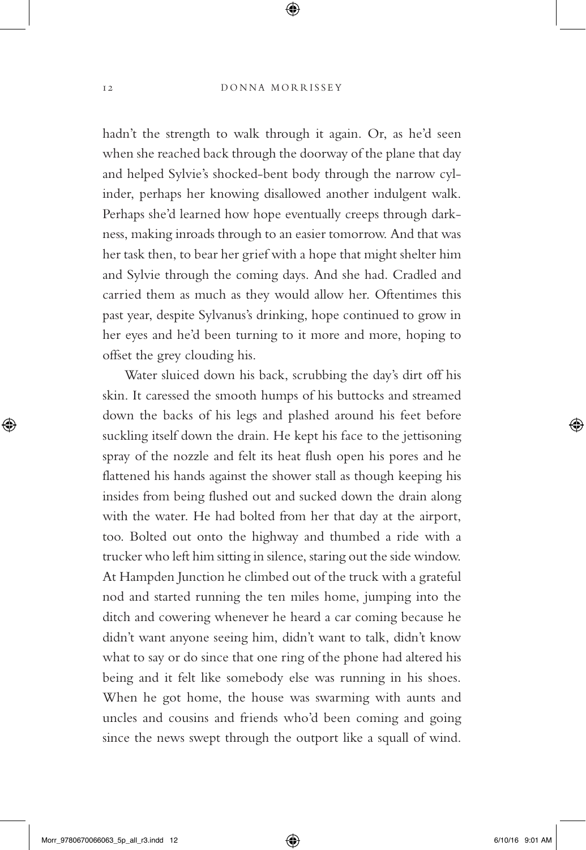hadn't the strength to walk through it again. Or, as he'd seen when she reached back through the doorway of the plane that day and helped Sylvie's shocked-bent body through the narrow cylinder, perhaps her knowing disallowed another indulgent walk. Perhaps she'd learned how hope eventually creeps through darkness, making inroads through to an easier tomorrow. And that was her task then, to bear her grief with a hope that might shelter him and Sylvie through the coming days. And she had. Cradled and carried them as much as they would allow her. Oftentimes this past year, despite Sylvanus's drinking, hope continued to grow in her eyes and he'd been turning to it more and more, hoping to offset the grey clouding his.

Water sluiced down his back, scrubbing the day's dirt off his skin. It caressed the smooth humps of his buttocks and streamed down the backs of his legs and plashed around his feet before suckling itself down the drain. He kept his face to the jettisoning spray of the nozzle and felt its heat flush open his pores and he flattened his hands against the shower stall as though keeping his insides from being flushed out and sucked down the drain along with the water. He had bolted from her that day at the airport, too. Bolted out onto the highway and thumbed a ride with a trucker who left him sitting in silence, staring out the side window. At Hampden Junction he climbed out of the truck with a grateful nod and started running the ten miles home, jumping into the ditch and cowering whenever he heard a car coming because he didn't want anyone seeing him, didn't want to talk, didn't know what to say or do since that one ring of the phone had altered his being and it felt like somebody else was running in his shoes. When he got home, the house was swarming with aunts and uncles and cousins and friends who'd been coming and going since the news swept through the outport like a squall of wind.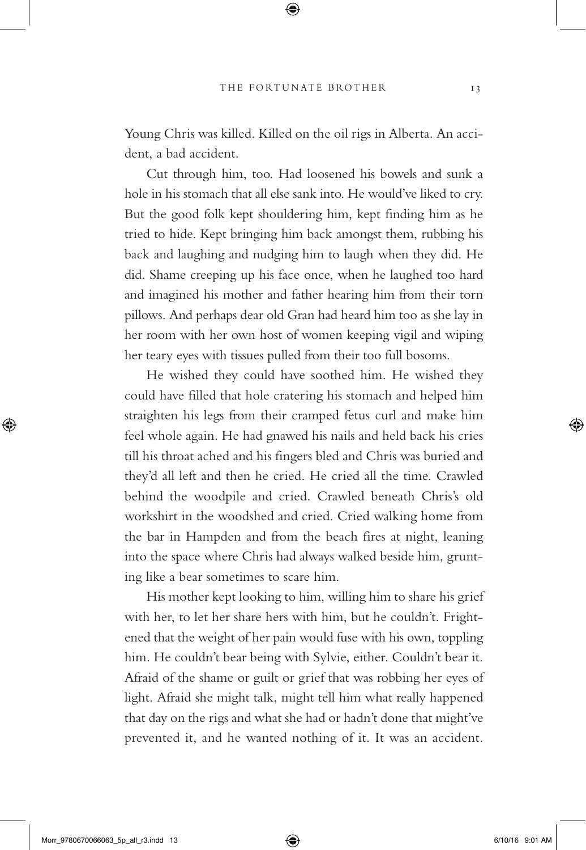Young Chris was killed. Killed on the oil rigs in Alberta. An accident, a bad accident.

Cut through him, too. Had loosened his bowels and sunk a hole in his stomach that all else sank into. He would've liked to cry. But the good folk kept shouldering him, kept finding him as he tried to hide. Kept bringing him back amongst them, rubbing his back and laughing and nudging him to laugh when they did. He did. Shame creeping up his face once, when he laughed too hard and imagined his mother and father hearing him from their torn pillows. And perhaps dear old Gran had heard him too as she lay in her room with her own host of women keeping vigil and wiping her teary eyes with tissues pulled from their too full bosoms.

He wished they could have soothed him. He wished they could have filled that hole cratering his stomach and helped him straighten his legs from their cramped fetus curl and make him feel whole again. He had gnawed his nails and held back his cries till his throat ached and his fingers bled and Chris was buried and they'd all left and then he cried. He cried all the time. Crawled behind the woodpile and cried. Crawled beneath Chris's old workshirt in the woodshed and cried. Cried walking home from the bar in Hampden and from the beach fires at night, leaning into the space where Chris had always walked beside him, grunting like a bear sometimes to scare him.

His mother kept looking to him, willing him to share his grief with her, to let her share hers with him, but he couldn't. Frightened that the weight of her pain would fuse with his own, toppling him. He couldn't bear being with Sylvie, either. Couldn't bear it. Afraid of the shame or guilt or grief that was robbing her eyes of light. Afraid she might talk, might tell him what really happened that day on the rigs and what she had or hadn't done that might've prevented it, and he wanted nothing of it. It was an accident.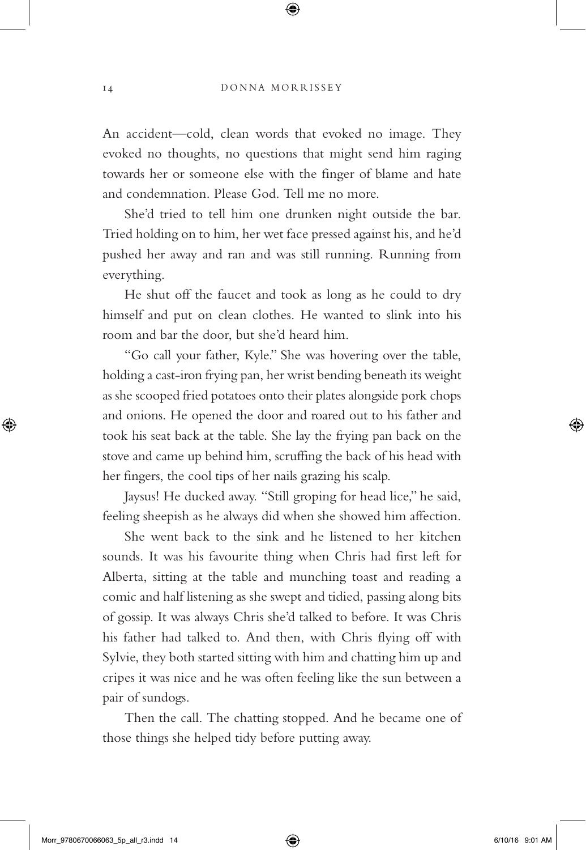An accident—cold, clean words that evoked no image. They evoked no thoughts, no questions that might send him raging towards her or someone else with the finger of blame and hate and condemnation. Please God. Tell me no more.

She'd tried to tell him one drunken night outside the bar. Tried holding on to him, her wet face pressed against his, and he'd pushed her away and ran and was still running. Running from everything.

He shut off the faucet and took as long as he could to dry himself and put on clean clothes. He wanted to slink into his room and bar the door, but she'd heard him.

"Go call your father, Kyle." She was hovering over the table, holding a cast-iron frying pan, her wrist bending beneath its weight as she scooped fried potatoes onto their plates alongside pork chops and onions. He opened the door and roared out to his father and took his seat back at the table. She lay the frying pan back on the stove and came up behind him, scruffing the back of his head with her fingers, the cool tips of her nails grazing his scalp.

Jaysus! He ducked away. "Still groping for head lice," he said, feeling sheepish as he always did when she showed him affection.

She went back to the sink and he listened to her kitchen sounds. It was his favourite thing when Chris had first left for Alberta, sitting at the table and munching toast and reading a comic and half listening as she swept and tidied, passing along bits of gossip. It was always Chris she'd talked to before. It was Chris his father had talked to. And then, with Chris flying off with Sylvie, they both started sitting with him and chatting him up and cripes it was nice and he was often feeling like the sun between a pair of sundogs.

Then the call. The chatting stopped. And he became one of those things she helped tidy before putting away.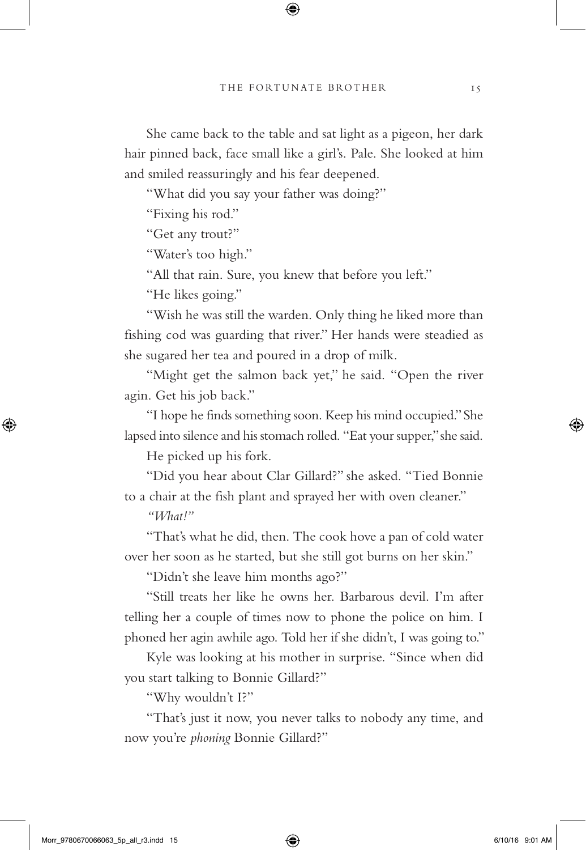She came back to the table and sat light as a pigeon, her dark hair pinned back, face small like a girl's. Pale. She looked at him and smiled reassuringly and his fear deepened.

"What did you say your father was doing?"

"Fixing his rod."

"Get any trout?"

"Water's too high."

"All that rain. Sure, you knew that before you left."

"He likes going."

"Wish he was still the warden. Only thing he liked more than fishing cod was guarding that river." Her hands were steadied as she sugared her tea and poured in a drop of milk.

"Might get the salmon back yet," he said. "Open the river agin. Get his job back."

"I hope he finds something soon. Keep his mind occupied." She lapsed into silence and his stomach rolled. "Eat your supper," she said.

He picked up his fork.

"Did you hear about Clar Gillard?" she asked. "Tied Bonnie to a chair at the fish plant and sprayed her with oven cleaner."

*"What!"*

"That's what he did, then. The cook hove a pan of cold water over her soon as he started, but she still got burns on her skin."

"Didn't she leave him months ago?"

"Still treats her like he owns her. Barbarous devil. I'm after telling her a couple of times now to phone the police on him. I phoned her agin awhile ago. Told her if she didn't, I was going to."

Kyle was looking at his mother in surprise. "Since when did you start talking to Bonnie Gillard?"

"Why wouldn't I?"

"That's just it now, you never talks to nobody any time, and now you're *phoning* Bonnie Gillard?"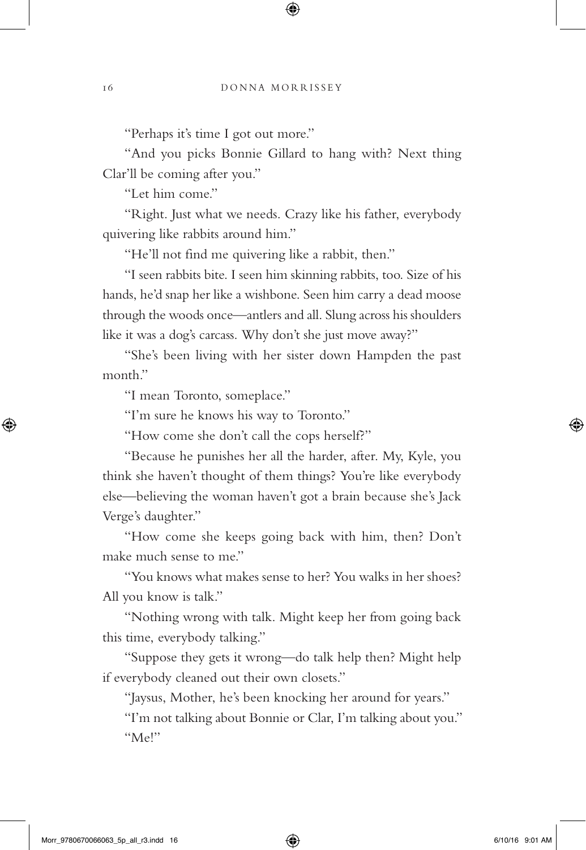"Perhaps it's time I got out more."

"And you picks Bonnie Gillard to hang with? Next thing Clar'll be coming after you."

"Let him come."

"Right. Just what we needs. Crazy like his father, everybody quivering like rabbits around him."

"He'll not find me quivering like a rabbit, then."

"I seen rabbits bite. I seen him skinning rabbits, too. Size of his hands, he'd snap her like a wishbone. Seen him carry a dead moose through the woods once—antlers and all. Slung across his shoulders like it was a dog's carcass. Why don't she just move away?"

"She's been living with her sister down Hampden the past month"

"I mean Toronto, someplace."

"I'm sure he knows his way to Toronto."

"How come she don't call the cops herself?"

"Because he punishes her all the harder, after. My, Kyle, you think she haven't thought of them things? You're like everybody else—believing the woman haven't got a brain because she's Jack Verge's daughter."

"How come she keeps going back with him, then? Don't make much sense to me."

"You knows what makes sense to her? You walks in her shoes? All you know is talk."

"Nothing wrong with talk. Might keep her from going back this time, everybody talking."

"Suppose they gets it wrong—do talk help then? Might help if everybody cleaned out their own closets."

"Jaysus, Mother, he's been knocking her around for years."

"I'm not talking about Bonnie or Clar, I'm talking about you." "Me!"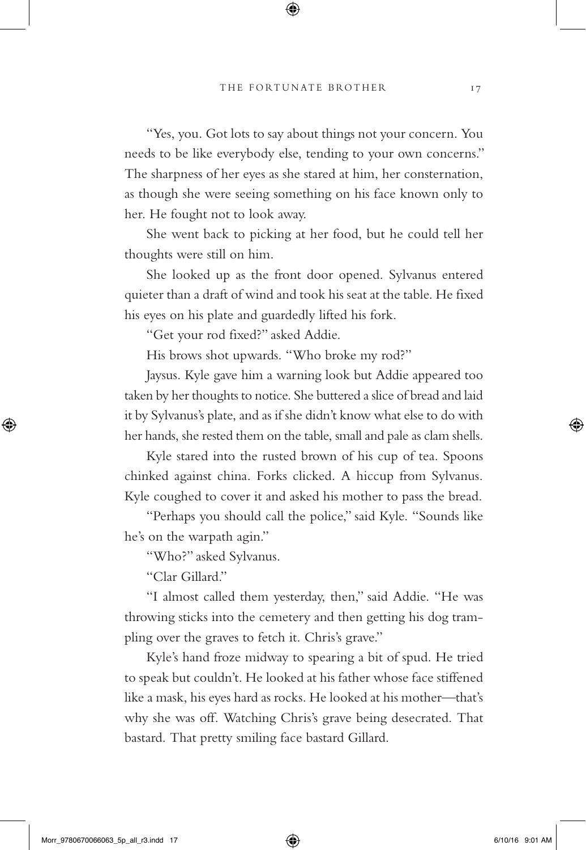"Yes, you. Got lots to say about things not your concern. You needs to be like everybody else, tending to your own concerns." The sharpness of her eyes as she stared at him, her consternation, as though she were seeing something on his face known only to her. He fought not to look away.

She went back to picking at her food, but he could tell her thoughts were still on him.

She looked up as the front door opened. Sylvanus entered quieter than a draft of wind and took his seat at the table. He fixed his eyes on his plate and guardedly lifted his fork.

"Get your rod fixed?" asked Addie.

His brows shot upwards. "Who broke my rod?"

Jaysus. Kyle gave him a warning look but Addie appeared too taken by her thoughts to notice. She buttered a slice of bread and laid it by Sylvanus's plate, and as if she didn't know what else to do with her hands, she rested them on the table, small and pale as clam shells.

Kyle stared into the rusted brown of his cup of tea. Spoons chinked against china. Forks clicked. A hiccup from Sylvanus. Kyle coughed to cover it and asked his mother to pass the bread.

"Perhaps you should call the police," said Kyle. "Sounds like he's on the warpath agin."

"Who?" asked Sylvanus.

"Clar Gillard."

"I almost called them yesterday, then," said Addie. "He was throwing sticks into the cemetery and then getting his dog trampling over the graves to fetch it. Chris's grave."

Kyle's hand froze midway to spearing a bit of spud. He tried to speak but couldn't. He looked at his father whose face stiffened like a mask, his eyes hard as rocks. He looked at his mother—that's why she was off. Watching Chris's grave being desecrated. That bastard. That pretty smiling face bastard Gillard.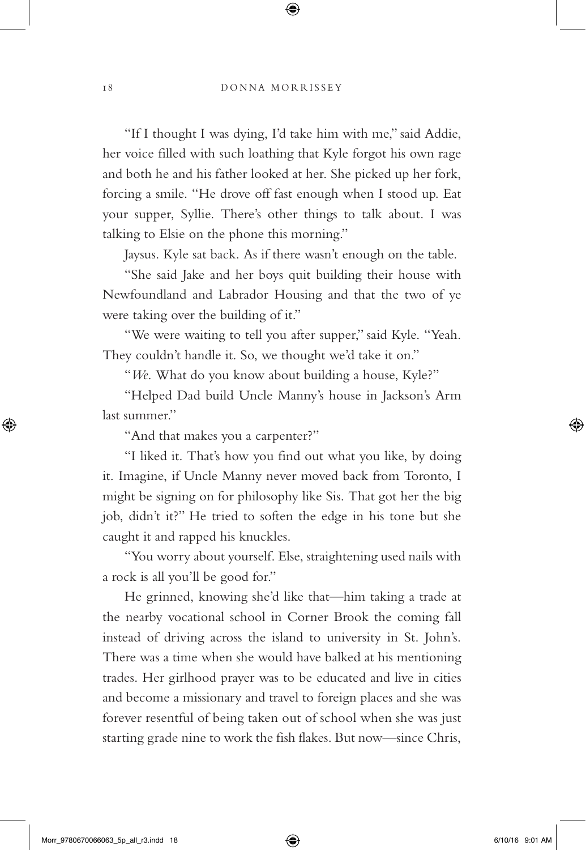"If I thought I was dying, I'd take him with me," said Addie, her voice filled with such loathing that Kyle forgot his own rage and both he and his father looked at her. She picked up her fork, forcing a smile. "He drove off fast enough when I stood up. Eat your supper, Syllie. There's other things to talk about. I was talking to Elsie on the phone this morning."

Jaysus. Kyle sat back. As if there wasn't enough on the table.

"She said Jake and her boys quit building their house with Newfoundland and Labrador Housing and that the two of ye were taking over the building of it."

"We were waiting to tell you after supper," said Kyle. "Yeah. They couldn't handle it. So, we thought we'd take it on."

"*We*. What do you know about building a house, Kyle?"

"Helped Dad build Uncle Manny's house in Jackson's Arm last summer."

"And that makes you a carpenter?"

"I liked it. That's how you find out what you like, by doing it. Imagine, if Uncle Manny never moved back from Toronto, I might be signing on for philosophy like Sis. That got her the big job, didn't it?" He tried to soften the edge in his tone but she caught it and rapped his knuckles.

"You worry about yourself. Else, straightening used nails with a rock is all you'll be good for."

He grinned, knowing she'd like that—him taking a trade at the nearby vocational school in Corner Brook the coming fall instead of driving across the island to university in St. John's. There was a time when she would have balked at his mentioning trades. Her girlhood prayer was to be educated and live in cities and become a missionary and travel to foreign places and she was forever resentful of being taken out of school when she was just starting grade nine to work the fish flakes. But now—since Chris,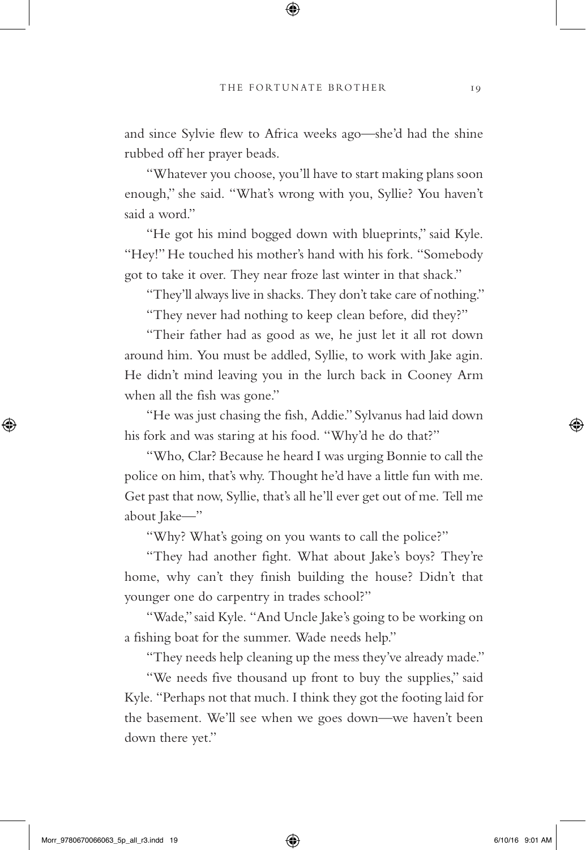and since Sylvie flew to Africa weeks ago—she'd had the shine rubbed off her prayer beads.

"Whatever you choose, you'll have to start making plans soon enough," she said. "What's wrong with you, Syllie? You haven't said a word."

"He got his mind bogged down with blueprints," said Kyle. "Hey!" He touched his mother's hand with his fork. "Somebody got to take it over. They near froze last winter in that shack."

"They'll always live in shacks. They don't take care of nothing."

"They never had nothing to keep clean before, did they?"

"Their father had as good as we, he just let it all rot down around him. You must be addled, Syllie, to work with Jake agin. He didn't mind leaving you in the lurch back in Cooney Arm when all the fish was gone."

"He was just chasing the fish, Addie." Sylvanus had laid down his fork and was staring at his food. "Why'd he do that?"

"Who, Clar? Because he heard I was urging Bonnie to call the police on him, that's why. Thought he'd have a little fun with me. Get past that now, Syllie, that's all he'll ever get out of me. Tell me about Jake—"

"Why? What's going on you wants to call the police?"

"They had another fight. What about Jake's boys? They're home, why can't they finish building the house? Didn't that younger one do carpentry in trades school?"

"Wade," said Kyle. "And Uncle Jake's going to be working on a fishing boat for the summer. Wade needs help."

"They needs help cleaning up the mess they've already made."

"We needs five thousand up front to buy the supplies," said Kyle. "Perhaps not that much. I think they got the footing laid for the basement. We'll see when we goes down—we haven't been down there yet."